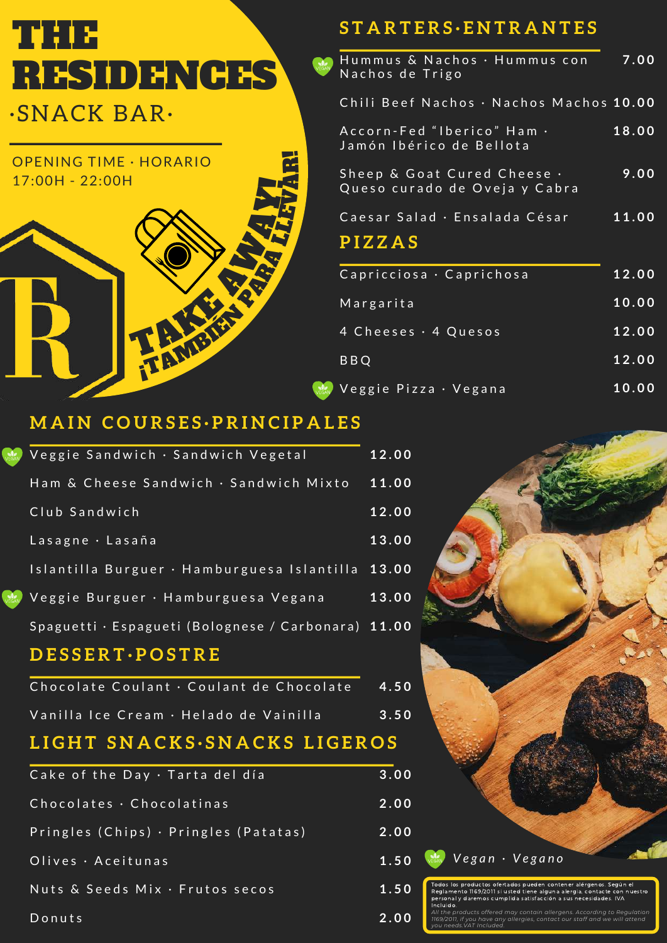# **<sup>S</sup> <sup>T</sup> <sup>A</sup> <sup>R</sup> <sup>T</sup> <sup>E</sup> <sup>R</sup> <sup>S</sup> · <sup>E</sup> <sup>N</sup> <sup>T</sup> <sup>R</sup> <sup>A</sup> <sup>N</sup> <sup>T</sup> <sup>E</sup> <sup>S</sup>** THE RESIDENCES

# ·SNACK BAR·

**Nege** 



| Hummus & Nachos · Hummus con<br>Nachos de Trigo              | 7.00  |
|--------------------------------------------------------------|-------|
| Chili Beef Nachos · Nachos Machos 10.00                      |       |
| Accorn-Fed "Iberico" Ham .<br>Jamón Ibérico de Bellota       | 18.00 |
| Sheep & Goat Cured Cheese .<br>Queso curado de Oveja y Cabra | 9.00  |
| Caesar Salad · Ensalada César<br>PIZZAS                      | 11.00 |
| Capricciosa · Caprichosa                                     | 12.00 |

| Capitcelosa Capitchosa  | ----- |
|-------------------------|-------|
| Margarita               | 10.00 |
| 4 Cheeses . 4 Quesos    | 12.00 |
| <b>BBQ</b>              | 12.00 |
| Veggie Pizza • Vegana " | 10.00 |

### **M A I N C O U R S E S · P R I N C I P A L E S**

| Veggie Sandwich · Sandwich Vegetal                  | 12.00 |
|-----------------------------------------------------|-------|
| Ham & Cheese Sandwich · Sandwich Mixto              | 11.00 |
| Club Sandwich                                       | 12.00 |
| Lasagne · Lasaña                                    | 13.00 |
| Islantilla Burguer · Hamburguesa Islantilla 13.00   |       |
| Veggie Burguer · Hamburguesa Vegana                 | 13.00 |
| Spaguetti · Espagueti (Bolognese / Carbonara) 11.00 |       |
| <b>DESSERT</b> ·POSTRE                              |       |
| Chocolate Coulant · Coulant de Chocolate            | 4.50  |
| Vanilla Ice Cream · Helado de Vainilla              | 3.50  |
| <b>IT CNIA CIIC CNIA C</b>                          |       |

## **L I G H T S N A C K S · S N A C K S L I G E R O S**

| Cake of the Day · Tarta del día       | 3.00 |
|---------------------------------------|------|
| Chocolates $\cdot$ Chocolatinas       | 2.00 |
| Pringles (Chips) · Pringles (Patatas) | 2.00 |
| Olives · Aceitunas                    | 1.50 |
| Nuts & Seeds Mix · Frutos secos       | 1.50 |
| Donuts                                | 2.00 |



*you needs.VAT Included.*